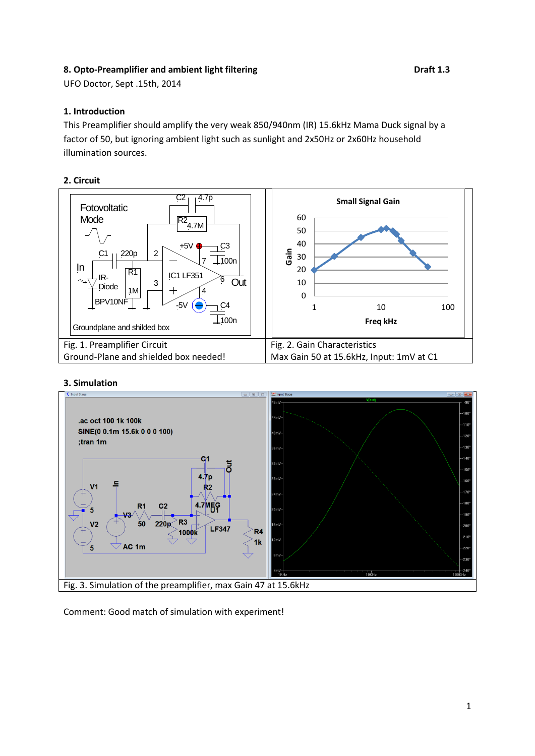## 8. Opto-Preamplifier and ambient light filtering **Branch 2.3** Draft 1.3

UFO Doctor, Sept .15th, 2014

#### **1. Introduction**

This Preamplifier should amplify the very weak 850/940nm (IR) 15.6kHz Mama Duck signal by a factor of 50, but ignoring ambient light such as sunlight and 2x50Hz or 2x60Hz household illumination sources.

#### **2. Circuit**



#### **3. Simulation**



Comment: Good match of simulation with experiment!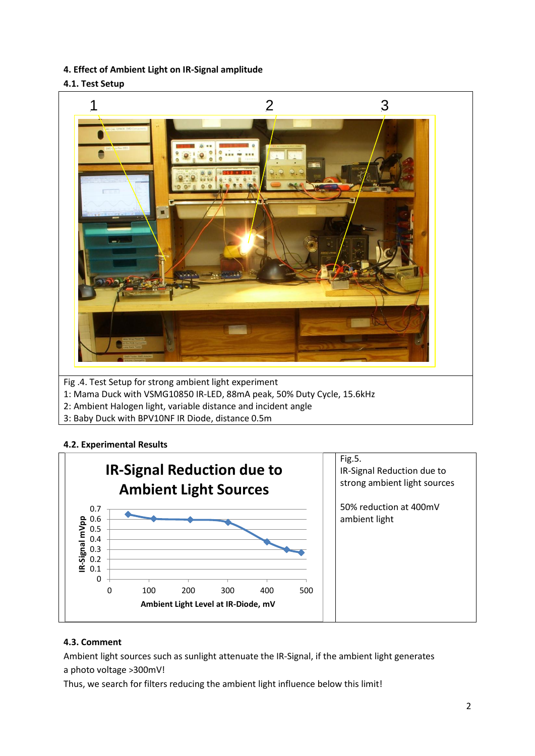**4. Effect of Ambient Light on IR-Signal amplitude**

# **4.1. Test Setup**



3: Baby Duck with BPV10NF IR Diode, distance 0.5m

# **4.2. Experimental Results**



# **4.3. Comment**

Ambient light sources such as sunlight attenuate the IR-Signal, if the ambient light generates a photo voltage >300mV!

Thus, we search for filters reducing the ambient light influence below this limit!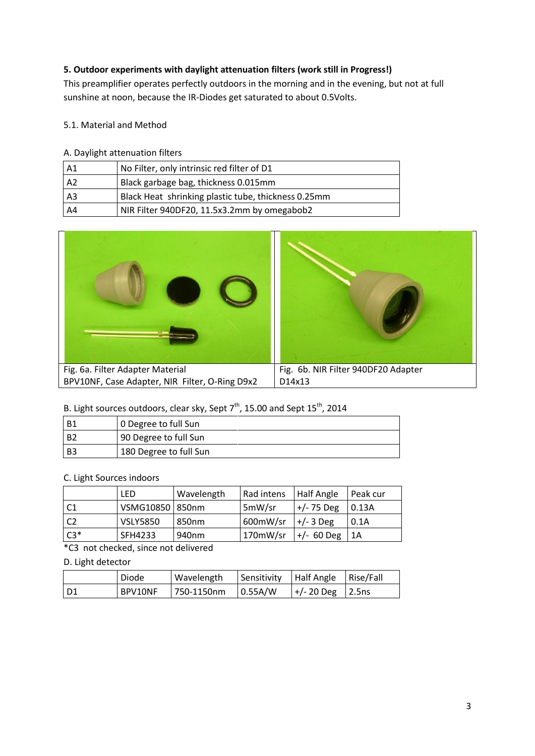# **5. Outdoor experiments with daylight attenuation filters (work still in Progress!)**

This preamplifier operates perfectly outdoors in the morning and in the evening, but not at full sunshine at noon, because the IR-Diodes get saturated to about 0.5Volts.

# 5.1. Material and Method

## A. Daylight attenuation filters

| A <sub>1</sub> | No Filter, only intrinsic red filter of D1          |
|----------------|-----------------------------------------------------|
| A <sub>2</sub> | Black garbage bag, thickness 0.015mm                |
| A <sub>3</sub> | Black Heat shrinking plastic tube, thickness 0.25mm |
| A4             | NIR Filter 940DF20, 11.5x3.2mm by omegabob2         |



# B. Light sources outdoors, clear sky, Sept  $7<sup>th</sup>$ , 15.00 and Sept 15<sup>th</sup>, 2014

| B1             | 10 Degree to full Sun  |
|----------------|------------------------|
| B <sub>2</sub> | 90 Degree to full Sun  |
| B <sub>3</sub> | 180 Degree to full Sun |

## C. Light Sources indoors

|                 | <b>LED</b>        | Wavelength | Rad intens   Half Angle  |                        | Peak cur        |
|-----------------|-------------------|------------|--------------------------|------------------------|-----------------|
| $\overline{C1}$ | VSMG10850   850nm |            | 5mW/sr                   | $ +/$ -75 Deg $ 0.13A$ |                 |
| l C2            | <b>VSLY5850</b>   | l 850nm    | 600mW/sr                 | $ +/3$ Deg             | 0.1A            |
| $\mathsf{C}3^*$ | SFH4233           | 940nm      | $170$ mW/sr $ +/$ 60 Deg |                        | $\mathsf{I}$ 1A |

\*C3 not checked, since not delivered

## D. Light detector

|      | Diode   | Wavelength | Sensitivity    | Half Angle        | Rise/Fall |
|------|---------|------------|----------------|-------------------|-----------|
| l D1 | BPV10NF | 750-1150nm | $\mid$ 0.55A/W | $ +/20$ Deg 2.5ns |           |